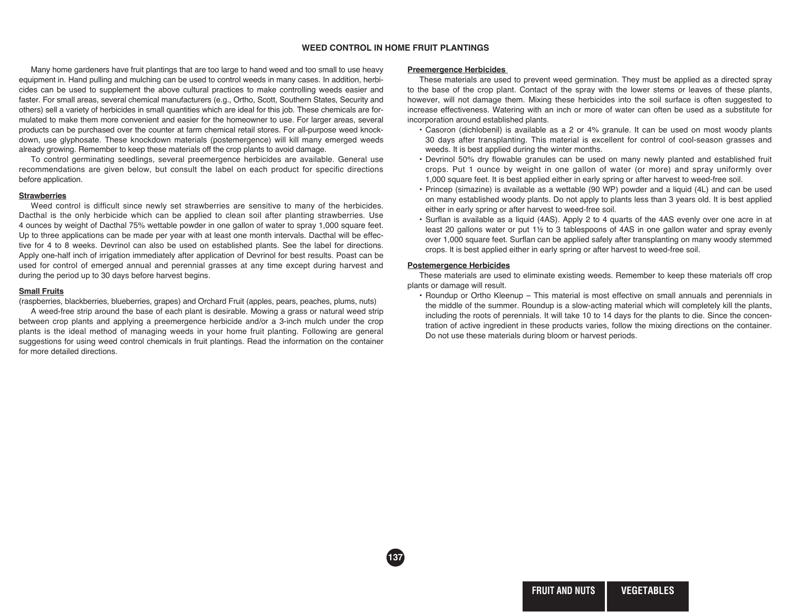# **WEED CONTROL IN HOME FRUIT PLANTINGS**

**137**

Many home gardeners have fruit plantings that are too large to hand weed and too small to use heavy equipment in. Hand pulling and mulching can be used to control weeds in many cases. In addition, herbicides can be used to supplement the above cultural practices to make controlling weeds easier and faster. For small areas, several chemical manufacturers (e.g., Ortho, Scott, Southern States, Security and others) sell a variety of herbicides in small quantities which are ideal for this job. These chemicals are formulated to make them more convenient and easier for the homeowner to use. For larger areas, several products can be purchased over the counter at farm chemical retail stores. For all-purpose weed knockdown, use glyphosate. These knockdown materials (postemergence) will kill many emerged weeds already growing. Remember to keep these materials off the crop plants to avoid damage.

To control germinating seedlings, several preemergence herbicides are available. General use recom mendations are given below, but consult the label on each product for specific directions before application.

### **Strawberries**

Weed control is difficult since newly set strawberries are sensitive to many of the herbicides. Dacthal is the only herbicide which can be applied to clean soil after planting strawberries. Use 4 ounces by weight of Dacthal 75% wettable powder in one gallon of water to spray 1,000 square feet. Up to three applications can be made per year with at least one month intervals. Dacthal will be effective for 4 to 8 weeks. Devrinol can also be used on established plants. See the label for directions. Apply one-half inch of irrigation immediately after application of Devrinol for best results. Poast can be used for control of emerged annual and perennial grasses at any time except during harvest and during the period up to 30 days before harvest begins.

## **Small Fruits**

(raspberries, blackberries, blueberries, grapes) and Orchard Fruit (apples, pears, peaches, plums, nuts)

A weed-free strip around the base of each plant is desirable. Mowing a grass or natural weed strip between crop plants and applying a preemergence herbicide and/or a 3-inch mulch under the crop plants is the ideal method of managing weeds in your home fruit planting. Following are general suggestions for using weed control chemicals in fruit plantings. Read the information on the container for more detailed directions.

### **Preemergence Herbicides**

These materials are used to prevent weed germination. They must be applied as a directed spray to the base of the crop plant. Contact of the spray with the lower stems or leaves of these plants, however, will not damage them. Mixing these herbicides into the soil surface is often suggested to increase effectiveness. Watering with an inch or more of water can often be used as a substitute for incorporation around established plants.

- Casoron (dichlobenil) is available as a 2 or 4% granule. It can be used on most woody plants 30 days after transplanting. This material is excellent for control of cool-season grasses and weeds. It is best applied during the winter months.
- Devrinol 50% dry flowable granules can be used on many newly planted and established fruit crops. Put 1 ounce by weight in one gallon of water (or more) and spray uniformly over 1,000 square feet. It is best applied either in early spring or after harvest to weed-free soil.
- Princep (simazine) is available as a wettable (90 WP) powder and a liquid (4L) and can be used on many established woody plants. Do not apply to plants less than 3 years old. It is best applied either in early spring or after harvest to weed-free soil.
- Surflan is available as a liquid (4AS). Apply 2 to 4 quarts of the 4AS evenly over one acre in at least 20 gallons water or put 1½ to 3 tablespoons of 4AS in one gallon water and spray evenly over 1,000 square feet. Surflan can be applied safely after transplanting on many woody stemmed crops. It is best applied either in early spring or after harvest to weed-free soil.

### **Postemergence Herbicides**

These materials are used to eliminate existing weeds. Remember to keep these materials off crop plants or damage will result.

• Roundup or Ortho Kleenup – This material is most effective on small annuals and perennials in the middle of the summer. Roundup is a slow-acting material which will completely kill the plants, including the roots of perennials. It will take 10 to 14 days for the plants to die. Since the concentration of active ingredient in these products varies, follow the mixing directions on the container. Do not use these materials during bloom or harvest periods.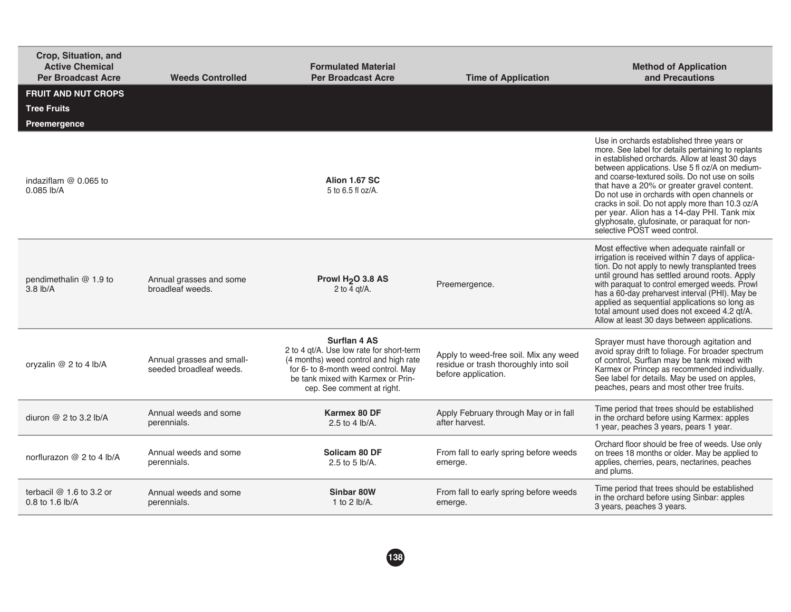| Crop, Situation, and<br><b>Active Chemical</b><br><b>Per Broadcast Acre</b> | <b>Weeds Controlled</b>                              | <b>Formulated Material</b><br><b>Per Broadcast Acre</b>                                                                                                                                                             | <b>Time of Application</b>                                                                            | <b>Method of Application</b><br>and Precautions                                                                                                                                                                                                                                                                                                                                                                                                                                                                                          |
|-----------------------------------------------------------------------------|------------------------------------------------------|---------------------------------------------------------------------------------------------------------------------------------------------------------------------------------------------------------------------|-------------------------------------------------------------------------------------------------------|------------------------------------------------------------------------------------------------------------------------------------------------------------------------------------------------------------------------------------------------------------------------------------------------------------------------------------------------------------------------------------------------------------------------------------------------------------------------------------------------------------------------------------------|
| <b>FRUIT AND NUT CROPS</b><br><b>Tree Fruits</b>                            |                                                      |                                                                                                                                                                                                                     |                                                                                                       |                                                                                                                                                                                                                                                                                                                                                                                                                                                                                                                                          |
| Preemergence                                                                |                                                      |                                                                                                                                                                                                                     |                                                                                                       |                                                                                                                                                                                                                                                                                                                                                                                                                                                                                                                                          |
| indaziflam $@$ 0.065 to<br>$0.085$ lb/A                                     |                                                      | Alion 1.67 SC<br>5 to 6.5 fl oz/A.                                                                                                                                                                                  |                                                                                                       | Use in orchards established three years or<br>more. See label for details pertaining to replants<br>in established orchards. Allow at least 30 days<br>between applications. Use 5 fl oz/A on medium-<br>and coarse-textured soils. Do not use on soils<br>that have a 20% or greater gravel content.<br>Do not use in orchards with open channels or<br>cracks in soil. Do not apply more than 10.3 oz/A<br>per year. Alion has a 14-day PHI. Tank mix<br>glyphosate, glufosinate, or paraquat for non-<br>selective POST weed control. |
| pendimethalin @ 1.9 to<br>$3.8$ lb/A                                        | Annual grasses and some<br>broadleaf weeds.          | Prowl H <sub>2</sub> O 3.8 AS<br>2 to $\overline{4}$ qt/A.                                                                                                                                                          | Preemergence.                                                                                         | Most effective when adequate rainfall or<br>irrigation is received within 7 days of applica-<br>tion. Do not apply to newly transplanted trees<br>until ground has settled around roots. Apply<br>with paraquat to control emerged weeds. Prowl<br>has a 60-day preharvest interval (PHI). May be<br>applied as sequential applications so long as<br>total amount used does not exceed 4.2 gt/A.<br>Allow at least 30 days between applications.                                                                                        |
| oryzalin $@$ 2 to 4 lb/A                                                    | Annual grasses and small-<br>seeded broadleaf weeds. | <b>Surflan 4 AS</b><br>2 to 4 gt/A. Use low rate for short-term<br>(4 months) weed control and high rate<br>for 6- to 8-month weed control. May<br>be tank mixed with Karmex or Prin-<br>cep. See comment at right. | Apply to weed-free soil. Mix any weed<br>residue or trash thoroughly into soil<br>before application. | Sprayer must have thorough agitation and<br>avoid spray drift to foliage. For broader spectrum<br>of control, Surflan may be tank mixed with<br>Karmex or Princep as recommended individually.<br>See label for details. May be used on apples,<br>peaches, pears and most other tree fruits.                                                                                                                                                                                                                                            |
| diuron $@$ 2 to 3.2 lb/A                                                    | Annual weeds and some<br>perennials.                 | Karmex 80 DF<br>2.5 to 4 lb/A.                                                                                                                                                                                      | Apply February through May or in fall<br>after harvest.                                               | Time period that trees should be established<br>in the orchard before using Karmex: apples<br>1 year, peaches 3 years, pears 1 year.                                                                                                                                                                                                                                                                                                                                                                                                     |
| norflurazon @ 2 to 4 lb/A                                                   | Annual weeds and some<br>perennials.                 | Solicam 80 DF<br>2.5 to 5 $lb/A$ .                                                                                                                                                                                  | From fall to early spring before weeds<br>emerge.                                                     | Orchard floor should be free of weeds. Use only<br>on trees 18 months or older. May be applied to<br>applies, cherries, pears, nectarines, peaches<br>and plums.                                                                                                                                                                                                                                                                                                                                                                         |
| terbacil $@1.6$ to 3.2 or<br>0.8 to 1.6 lb/A                                | Annual weeds and some<br>perennials.                 | Sinbar 80W<br>1 to 2 $lb/A$ .                                                                                                                                                                                       | From fall to early spring before weeds<br>emerge.                                                     | Time period that trees should be established<br>in the orchard before using Sinbar: apples<br>3 years, peaches 3 years.                                                                                                                                                                                                                                                                                                                                                                                                                  |
|                                                                             |                                                      |                                                                                                                                                                                                                     |                                                                                                       |                                                                                                                                                                                                                                                                                                                                                                                                                                                                                                                                          |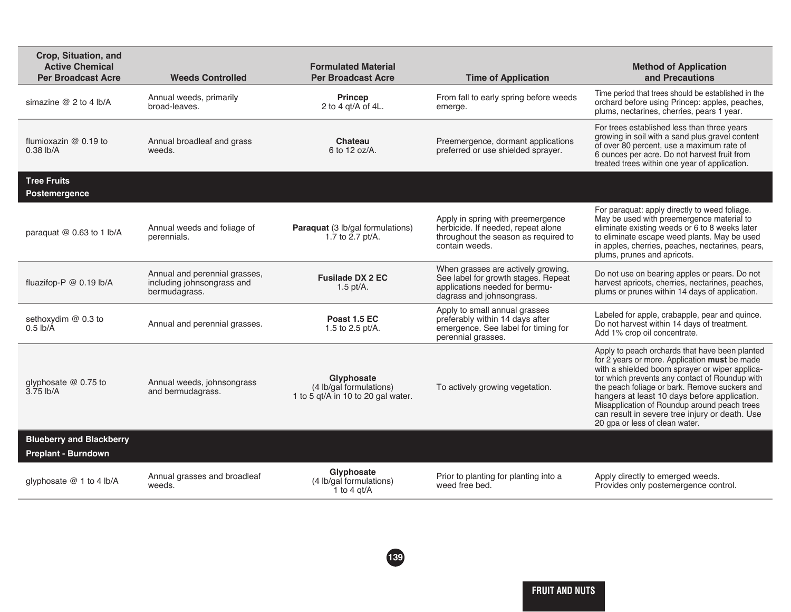| Crop, Situation, and<br><b>Active Chemical</b><br><b>Per Broadcast Acre</b> | <b>Weeds Controlled</b>                                                      | <b>Formulated Material</b><br><b>Per Broadcast Acre</b>                     | <b>Time of Application</b>                                                                                                               | <b>Method of Application</b><br>and Precautions                                                                                                                                                                                                                                                                                                                                                                                          |
|-----------------------------------------------------------------------------|------------------------------------------------------------------------------|-----------------------------------------------------------------------------|------------------------------------------------------------------------------------------------------------------------------------------|------------------------------------------------------------------------------------------------------------------------------------------------------------------------------------------------------------------------------------------------------------------------------------------------------------------------------------------------------------------------------------------------------------------------------------------|
| simazine $@$ 2 to 4 lb/A                                                    | Annual weeds, primarily<br>broad-leaves.                                     | <b>Princep</b><br>2 to 4 gt/A of 4L.                                        | From fall to early spring before weeds<br>emerge.                                                                                        | Time period that trees should be established in the<br>orchard before using Princep: apples, peaches,<br>plums, nectarines, cherries, pears 1 year.                                                                                                                                                                                                                                                                                      |
| flumioxazin $@$ 0.19 to<br>$0.38$ lb/A                                      | Annual broadleaf and grass<br>weeds.                                         | Chateau<br>6 to 12 oz/A.                                                    | Preemergence, dormant applications<br>preferred or use shielded sprayer.                                                                 | For trees established less than three years<br>growing in soil with a sand plus gravel content<br>of over 80 percent, use a maximum rate of<br>6 ounces per acre. Do not harvest fruit from<br>treated trees within one year of application.                                                                                                                                                                                             |
| <b>Tree Fruits</b><br>Postemergence                                         |                                                                              |                                                                             |                                                                                                                                          |                                                                                                                                                                                                                                                                                                                                                                                                                                          |
| paraquat @ 0.63 to 1 lb/A                                                   | Annual weeds and foliage of<br>perennials.                                   | Paraquat (3 lb/gal formulations)<br>1.7 to 2.7 pt/A.                        | Apply in spring with preemergence<br>herbicide. If needed, repeat alone<br>throughout the season as required to<br>contain weeds.        | For paraquat: apply directly to weed foliage.<br>May be used with preemergence material to<br>eliminate existing weeds or 6 to 8 weeks later<br>to eliminate escape weed plants. May be used<br>in apples, cherries, peaches, nectarines, pears,<br>plums, prunes and apricots.                                                                                                                                                          |
| fluazifop-P @ 0.19 lb/A                                                     | Annual and perennial grasses,<br>including johnsongrass and<br>bermudagrass. | <b>Fusilade DX 2 EC</b><br>$1.5$ pt/A.                                      | When grasses are actively growing.<br>See label for growth stages. Repeat<br>applications needed for bermu-<br>dagrass and johnsongrass. | Do not use on bearing apples or pears. Do not<br>harvest apricots, cherries, nectarines, peaches,<br>plums or prunes within 14 days of application.                                                                                                                                                                                                                                                                                      |
| sethoxydim @ 0.3 to<br>$0.5$ lb/A                                           | Annual and perennial grasses.                                                | Poast 1.5 EC<br>1.5 to 2.5 pt/A.                                            | Apply to small annual grasses<br>preferably within 14 days after<br>emergence. See label for timing for<br>perennial grasses.            | Labeled for apple, crabapple, pear and quince.<br>Do not harvest within 14 days of treatment.<br>Add 1% crop oil concentrate.                                                                                                                                                                                                                                                                                                            |
| glyphosate @ 0.75 to<br>3.75 lb/A                                           | Annual weeds, johnsongrass<br>and bermudagrass.                              | Glyphosate<br>(4 lb/gal formulations)<br>1 to 5 gt/A in 10 to 20 gal water. | To actively growing vegetation.                                                                                                          | Apply to peach orchards that have been planted<br>for 2 years or more. Application must be made<br>with a shielded boom sprayer or wiper applica-<br>tor which prevents any contact of Roundup with<br>the peach foliage or bark. Remove suckers and<br>hangers at least 10 days before application.<br>Misapplication of Roundup around peach trees<br>can result in severe tree injury or death. Use<br>20 gpa or less of clean water. |
| <b>Blueberry and Blackberry</b><br>Preplant - Burndown                      |                                                                              |                                                                             |                                                                                                                                          |                                                                                                                                                                                                                                                                                                                                                                                                                                          |
| glyphosate @ 1 to 4 lb/A                                                    | Annual grasses and broadleaf<br>weeds.                                       | Glyphosate<br>(4 lb/gal formulations)<br>1 to 4 $qt/A$                      | Prior to planting for planting into a<br>weed free bed.                                                                                  | Apply directly to emerged weeds.<br>Provides only postemergence control.                                                                                                                                                                                                                                                                                                                                                                 |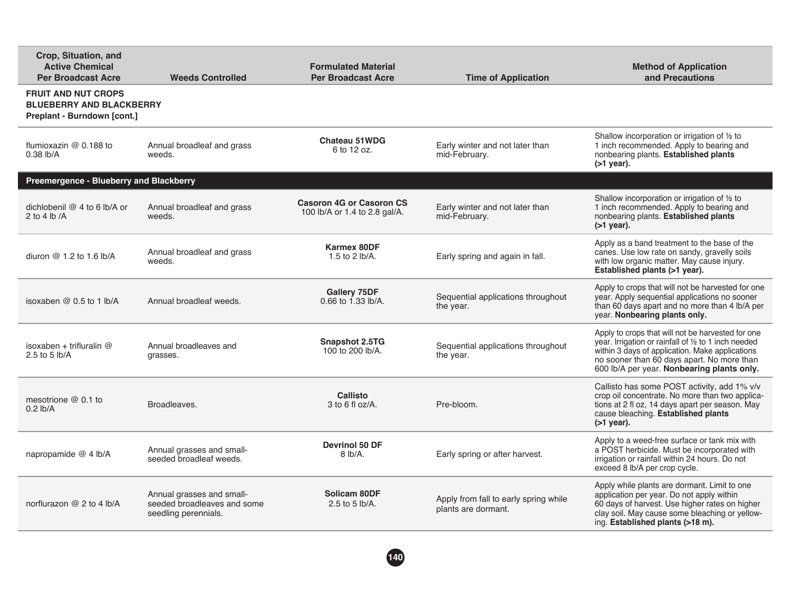| Crop, Situation, and<br><b>Active Chemical</b><br><b>Per Broadcast Acre</b>                  | <b>Weeds Controlled</b>                                                          | <b>Formulated Material</b><br><b>Per Broadcast Acre</b>          | <b>Time of Application</b>                                   | <b>Method of Application</b><br>and Precautions                                                                                                                                                                                                          |
|----------------------------------------------------------------------------------------------|----------------------------------------------------------------------------------|------------------------------------------------------------------|--------------------------------------------------------------|----------------------------------------------------------------------------------------------------------------------------------------------------------------------------------------------------------------------------------------------------------|
| <b>FRUIT AND NUT CROPS</b><br><b>BLUEBERRY AND BLACKBERRY</b><br>Preplant - Burndown [cont.] |                                                                                  |                                                                  |                                                              |                                                                                                                                                                                                                                                          |
| flumioxazin $@$ 0.188 to<br>$0.38$ lb/A                                                      | Annual broadleaf and grass<br>weeds.                                             | Chateau 51WDG<br>6 to 12 oz.                                     | Early winter and not later than<br>mid-February.             | Shallow incorporation or irrigation of 1/2 to<br>1 inch recommended. Apply to bearing and<br>nonbearing plants. Established plants<br>$($ >1 year).                                                                                                      |
| Preemergence - Blueberry and Blackberry                                                      |                                                                                  |                                                                  |                                                              |                                                                                                                                                                                                                                                          |
| dichlobenil @ 4 to 6 lb/A or<br>2 to 4 lb $/A$                                               | Annual broadleaf and grass<br>weeds.                                             | <b>Casoron 4G or Casoron CS</b><br>100 lb/A or 1.4 to 2.8 gal/A. | Early winter and not later than<br>mid-February.             | Shallow incorporation or irrigation of 1/2 to<br>1 inch recommended. Apply to bearing and<br>nonbearing plants. Established plants<br>$($ >1 year).                                                                                                      |
| diuron $@1.2$ to 1.6 lb/A                                                                    | Annual broadleaf and grass<br>weeds.                                             | <b>Karmex 80DF</b><br>1.5 to 2 lb/A.                             | Early spring and again in fall.                              | Apply as a band treatment to the base of the<br>canes. Use low rate on sandy, gravelly soils<br>with low organic matter. May cause injury.<br>Established plants (>1 year).                                                                              |
| isoxaben $@0.5$ to 1 lb/A                                                                    | Annual broadleaf weeds.                                                          | Gallery 75DF<br>0.66 to 1.33 lb/A.                               | Sequential applications throughout<br>the year.              | Apply to crops that will not be harvested for one<br>year. Apply sequential applications no sooner<br>than 60 days apart and no more than 4 lb/A per<br>year. Nonbearing plants only.                                                                    |
| isoxaben + trifluralin $@$<br>2.5 to 5 $lb/A$                                                | Annual broadleaves and<br>grasses.                                               | Snapshot 2.5TG<br>100 to 200 lb/A.                               | Sequential applications throughout<br>the year.              | Apply to crops that will not be harvested for one<br>year. Irrigation or rainfall of 1/2 to 1 inch needed<br>within 3 days of application. Make applications<br>no sooner than 60 days apart. No more than<br>600 lb/A per year. Nonbearing plants only. |
| mesotrione $@$ 0.1 to<br>$0.2$ lb/A                                                          | Broadleaves.                                                                     | Callisto<br>$3$ to 6 fl oz/A.                                    | Pre-bloom.                                                   | Callisto has some POST activity, add 1% v/v<br>crop oil concentrate. No more than two applica-<br>tions at 2 fl oz, 14 days apart per season. May<br>cause bleaching. Established plants<br>$($ >1 year).                                                |
| napropamide @ 4 lb/A                                                                         | Annual grasses and small-<br>seeded broadleaf weeds.                             | <b>Devrinol 50 DF</b><br>8 lb/A.                                 | Early spring or after harvest.                               | Apply to a weed-free surface or tank mix with<br>a POST herbicide. Must be incorporated with<br>irrigation or rainfall within 24 hours. Do not<br>exceed 8 lb/A per crop cycle.                                                                          |
| norflurazon @ 2 to 4 lb/A                                                                    | Annual grasses and small-<br>seeded broadleaves and some<br>seedling perennials. | Solicam 80DF<br>2.5 to 5 $lb/A$ .                                | Apply from fall to early spring while<br>plants are dormant. | Apply while plants are dormant. Limit to one<br>application per year. Do not apply within<br>60 days of harvest. Use higher rates on higher<br>clay soil. May cause some bleaching or yellow-<br>ing. Established plants (>18 m).                        |

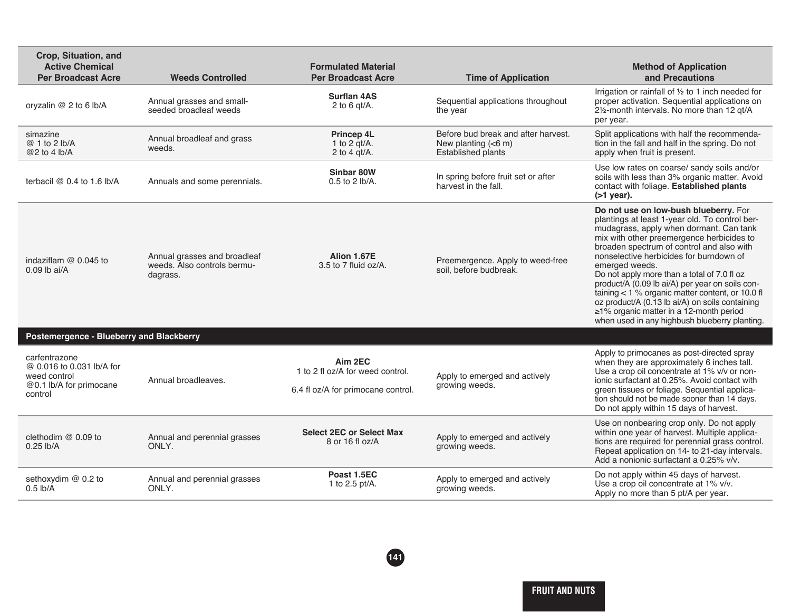| Crop, Situation, and<br><b>Active Chemical</b><br><b>Per Broadcast Acre</b>                      | <b>Weeds Controlled</b>                                                 | <b>Formulated Material</b><br><b>Per Broadcast Acre</b>                           | <b>Time of Application</b>                                                                  | <b>Method of Application</b><br>and Precautions                                                                                                                                                                                                                                                                                                                                                                                                                                                                                                                                                |
|--------------------------------------------------------------------------------------------------|-------------------------------------------------------------------------|-----------------------------------------------------------------------------------|---------------------------------------------------------------------------------------------|------------------------------------------------------------------------------------------------------------------------------------------------------------------------------------------------------------------------------------------------------------------------------------------------------------------------------------------------------------------------------------------------------------------------------------------------------------------------------------------------------------------------------------------------------------------------------------------------|
| oryzalin @ 2 to 6 lb/A                                                                           | Annual grasses and small-<br>seeded broadleaf weeds                     | <b>Surflan 4AS</b><br>2 to 6 $qt/A$ .                                             | Sequential applications throughout<br>the year                                              | Irrigation or rainfall of 1/2 to 1 inch needed for<br>proper activation. Sequential applications on<br>21/ <sub>2</sub> -month intervals. No more than 12 gt/A<br>per year.                                                                                                                                                                                                                                                                                                                                                                                                                    |
| simazine<br>@ 1 to 2 lb/A<br>@2 to 4 lb/A                                                        | Annual broadleaf and grass<br>weeds.                                    | Princep 4L<br>1 to 2 $qt/A$ .<br>2 to 4 $qt/A$ .                                  | Before bud break and after harvest.<br>New planting $(6 \, \text{m})$<br>Established plants | Split applications with half the recommenda-<br>tion in the fall and half in the spring. Do not<br>apply when fruit is present.                                                                                                                                                                                                                                                                                                                                                                                                                                                                |
| terbacil $@$ 0.4 to 1.6 lb/A                                                                     | Annuals and some perennials.                                            | Sinbar 80W<br>0.5 to 2 lb/A.                                                      | In spring before fruit set or after<br>harvest in the fall.                                 | Use low rates on coarse/ sandy soils and/or<br>soils with less than 3% organic matter. Avoid<br>contact with foliage. Established plants<br>$($ >1 year).                                                                                                                                                                                                                                                                                                                                                                                                                                      |
| indaziflam $@0.045$ to<br>$0.09$ lb ai/A                                                         | Annual grasses and broadleaf<br>weeds. Also controls bermu-<br>dagrass. | Alion 1.67E<br>$3.5$ to 7 fluid oz/A.                                             | Preemergence. Apply to weed-free<br>soil, before budbreak.                                  | Do not use on low-bush blueberry. For<br>plantings at least 1-year old. To control ber-<br>mudagrass, apply when dormant. Can tank<br>mix with other preemergence herbicides to<br>broaden spectrum of control and also with<br>nonselective herbicides for burndown of<br>emerged weeds.<br>Do not apply more than a total of 7.0 fl oz<br>product/A (0.09 lb ai/A) per year on soils con-<br>taining < 1 % organic matter content, or 10.0 fl<br>oz product/A (0.13 lb ai/A) on soils containing<br>≥1% organic matter in a 12-month period<br>when used in any highbush blueberry planting. |
| Postemergence - Blueberry and Blackberry                                                         |                                                                         |                                                                                   |                                                                                             |                                                                                                                                                                                                                                                                                                                                                                                                                                                                                                                                                                                                |
| carfentrazone<br>@ 0.016 to 0.031 lb/A for<br>weed control<br>@0.1 lb/A for primocane<br>control | Annual broadleaves.                                                     | Aim 2EC<br>1 to 2 fl oz/A for weed control.<br>6.4 fl oz/A for primocane control. | Apply to emerged and actively<br>growing weeds.                                             | Apply to primocanes as post-directed spray<br>when they are approximately 6 inches tall.<br>Use a crop oil concentrate at 1% v/v or non-<br>ionic surfactant at 0.25%. Avoid contact with<br>green tissues or foliage. Sequential applica-<br>tion should not be made sooner than 14 days.<br>Do not apply within 15 days of harvest.                                                                                                                                                                                                                                                          |
| clethodim $@$ 0.09 to<br>$0.25$ lb/A                                                             | Annual and perennial grasses<br>ONLY.                                   | <b>Select 2EC or Select Max</b><br>8 or 16 fl oz/A                                | Apply to emerged and actively<br>growing weeds.                                             | Use on nonbearing crop only. Do not apply<br>within one year of harvest. Multiple applica-<br>tions are required for perennial grass control.<br>Repeat application on 14- to 21-day intervals.<br>Add a nonionic surfactant a 0.25% v/v.                                                                                                                                                                                                                                                                                                                                                      |
| sethoxydim @ 0.2 to<br>$0.5$ lb/A                                                                | Annual and perennial grasses<br>ONLY.                                   | Poast 1.5EC<br>1 to 2.5 pt/A.                                                     | Apply to emerged and actively<br>growing weeds.                                             | Do not apply within 45 days of harvest.<br>Use a crop oil concentrate at 1% v/v.<br>Apply no more than 5 pt/A per year.                                                                                                                                                                                                                                                                                                                                                                                                                                                                        |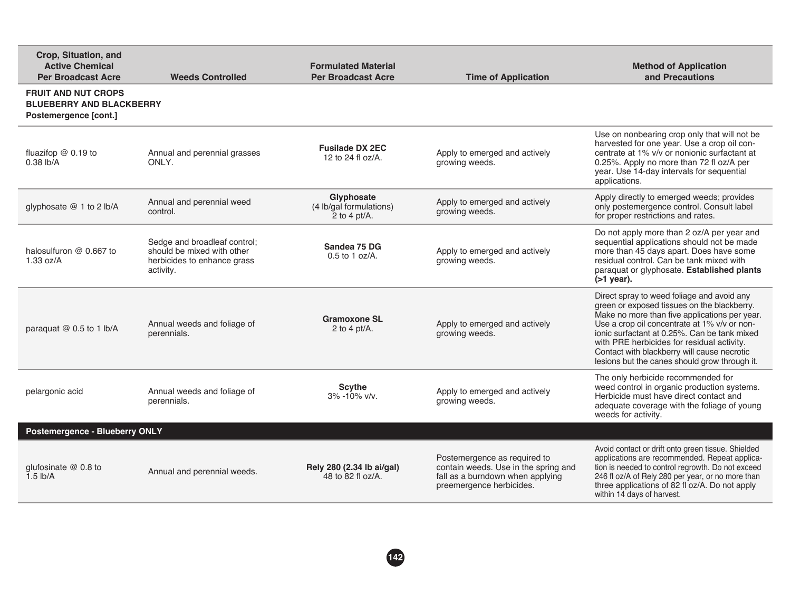| Crop, Situation, and<br><b>Active Chemical</b><br><b>Per Broadcast Acre</b>            | <b>Weeds Controlled</b>                                                                                | <b>Formulated Material</b><br><b>Per Broadcast Acre</b>  | <b>Time of Application</b>                                                                                                           | <b>Method of Application</b><br>and Precautions                                                                                                                                                                                                                                                                                                                                          |
|----------------------------------------------------------------------------------------|--------------------------------------------------------------------------------------------------------|----------------------------------------------------------|--------------------------------------------------------------------------------------------------------------------------------------|------------------------------------------------------------------------------------------------------------------------------------------------------------------------------------------------------------------------------------------------------------------------------------------------------------------------------------------------------------------------------------------|
| <b>FRUIT AND NUT CROPS</b><br><b>BLUEBERRY AND BLACKBERRY</b><br>Postemergence [cont.] |                                                                                                        |                                                          |                                                                                                                                      |                                                                                                                                                                                                                                                                                                                                                                                          |
| fluazifop $@$ 0.19 to<br>0.38 lb/A                                                     | Annual and perennial grasses<br>ONLY.                                                                  | <b>Fusilade DX 2EC</b><br>12 to 24 fl oz/A.              | Apply to emerged and actively<br>growing weeds.                                                                                      | Use on nonbearing crop only that will not be<br>harvested for one year. Use a crop oil con-<br>centrate at 1% v/v or nonionic surfactant at<br>0.25%. Apply no more than 72 fl oz/A per<br>year. Use 14-day intervals for sequential<br>applications.                                                                                                                                    |
| glyphosate @ 1 to 2 lb/A                                                               | Annual and perennial weed<br>control.                                                                  | Glyphosate<br>(4 lb/gal formulations)<br>2 to 4 $pt/A$ . | Apply to emerged and actively<br>growing weeds.                                                                                      | Apply directly to emerged weeds; provides<br>only postemergence control. Consult label<br>for proper restrictions and rates.                                                                                                                                                                                                                                                             |
| halosulfuron @ 0.667 to<br>1.33 oz/A                                                   | Sedge and broadleaf control;<br>should be mixed with other<br>herbicides to enhance grass<br>activity. | Sandea 75 DG<br>$0.5$ to 1 oz/A.                         | Apply to emerged and actively<br>growing weeds.                                                                                      | Do not apply more than 2 oz/A per year and<br>sequential applications should not be made<br>more than 45 days apart. Does have some<br>residual control. Can be tank mixed with<br>paraquat or glyphosate. Established plants<br>$($ >1 year).                                                                                                                                           |
| paraquat @ 0.5 to 1 lb/A                                                               | Annual weeds and foliage of<br>perennials.                                                             | <b>Gramoxone SL</b><br>2 to 4 pt/ $A$ .                  | Apply to emerged and actively<br>growing weeds.                                                                                      | Direct spray to weed foliage and avoid any<br>green or exposed tissues on the blackberry.<br>Make no more than five applications per year.<br>Use a crop oil concentrate at 1% v/v or non-<br>ionic surfactant at 0.25%. Can be tank mixed<br>with PRE herbicides for residual activity.<br>Contact with blackberry will cause necrotic<br>lesions but the canes should grow through it. |
| pelargonic acid                                                                        | Annual weeds and foliage of<br>perennials.                                                             | <b>Scythe</b><br>$3\% - 10\%$ v/v.                       | Apply to emerged and actively<br>growing weeds.                                                                                      | The only herbicide recommended for<br>weed control in organic production systems.<br>Herbicide must have direct contact and<br>adequate coverage with the foliage of young<br>weeds for activity.                                                                                                                                                                                        |
| Postemergence - Blueberry ONLY                                                         |                                                                                                        |                                                          |                                                                                                                                      |                                                                                                                                                                                                                                                                                                                                                                                          |
| qlufosinate $@$ 0.8 to<br>$1.5$ lb/A                                                   | Annual and perennial weeds.                                                                            | Rely 280 (2.34 lb ai/gal)<br>48 to 82 fl oz/A.           | Postemergence as required to<br>contain weeds. Use in the spring and<br>fall as a burndown when applying<br>preemergence herbicides. | Avoid contact or drift onto green tissue. Shielded<br>applications are recommended. Repeat applica-<br>tion is needed to control regrowth. Do not exceed<br>246 fl oz/A of Rely 280 per year, or no more than<br>three applications of 82 fl oz/A. Do not apply<br>within 14 days of harvest.                                                                                            |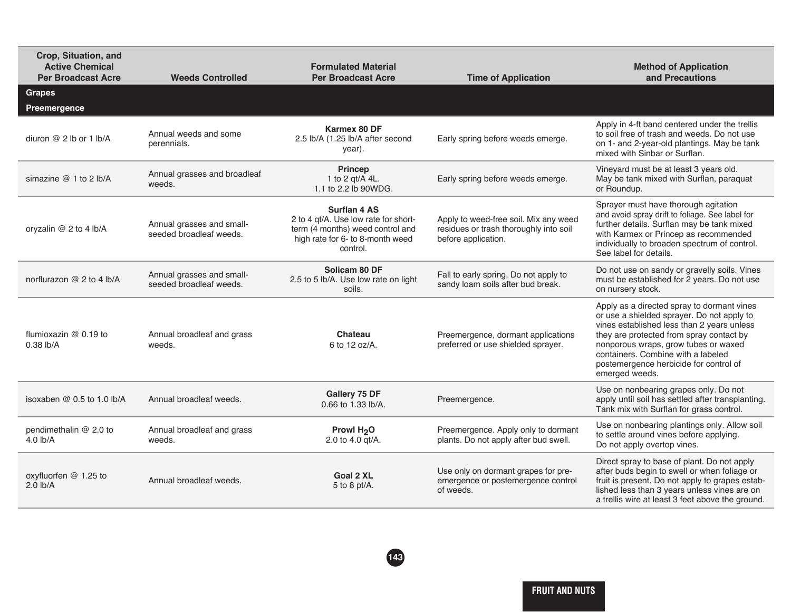| Crop, Situation, and<br><b>Active Chemical</b><br><b>Per Broadcast Acre</b> | <b>Weeds Controlled</b>                              | <b>Formulated Material</b><br><b>Per Broadcast Acre</b>                                                                                         | <b>Time of Application</b>                                                                             | <b>Method of Application</b><br>and Precautions                                                                                                                                                                                                                                                                              |
|-----------------------------------------------------------------------------|------------------------------------------------------|-------------------------------------------------------------------------------------------------------------------------------------------------|--------------------------------------------------------------------------------------------------------|------------------------------------------------------------------------------------------------------------------------------------------------------------------------------------------------------------------------------------------------------------------------------------------------------------------------------|
| <b>Grapes</b><br>Preemergence                                               |                                                      |                                                                                                                                                 |                                                                                                        |                                                                                                                                                                                                                                                                                                                              |
| diuron $@$ 2 lb or 1 lb/A                                                   | Annual weeds and some<br>perennials.                 | Karmex 80 DF<br>2.5 lb/A (1.25 lb/A after second<br>year).                                                                                      | Early spring before weeds emerge.                                                                      | Apply in 4-ft band centered under the trellis<br>to soil free of trash and weeds. Do not use<br>on 1- and 2-year-old plantings. May be tank<br>mixed with Sinbar or Surflan.                                                                                                                                                 |
| simazine $@1$ to 2 lb/A                                                     | Annual grasses and broadleaf<br>weeds.               | <b>Princep</b><br>1 to 2 gt/A 4L.<br>1.1 to 2.2 lb 90WDG.                                                                                       | Early spring before weeds emerge.                                                                      | Vineyard must be at least 3 years old.<br>May be tank mixed with Surflan, paraquat<br>or Roundup.                                                                                                                                                                                                                            |
| oryzalin @ 2 to 4 lb/A                                                      | Annual grasses and small-<br>seeded broadleaf weeds. | <b>Surflan 4 AS</b><br>2 to 4 qt/A. Use low rate for short-<br>term (4 months) weed control and<br>high rate for 6- to 8-month weed<br>control. | Apply to weed-free soil. Mix any weed<br>residues or trash thoroughly into soil<br>before application. | Sprayer must have thorough agitation<br>and avoid spray drift to foliage. See label for<br>further details. Surflan may be tank mixed<br>with Karmex or Princep as recommended<br>individually to broaden spectrum of control.<br>See label for details.                                                                     |
| norflurazon @ 2 to 4 lb/A                                                   | Annual grasses and small-<br>seeded broadleaf weeds. | Solicam 80 DF<br>2.5 to 5 lb/A. Use low rate on light<br>soils.                                                                                 | Fall to early spring. Do not apply to<br>sandy loam soils after bud break.                             | Do not use on sandy or gravelly soils. Vines<br>must be established for 2 years. Do not use<br>on nursery stock.                                                                                                                                                                                                             |
| flumioxazin @ 0.19 to<br>$0.38$ lb/A                                        | Annual broadleaf and grass<br>weeds.                 | Chateau<br>6 to 12 oz/A.                                                                                                                        | Preemergence, dormant applications<br>preferred or use shielded sprayer.                               | Apply as a directed spray to dormant vines<br>or use a shielded sprayer. Do not apply to<br>vines established less than 2 years unless<br>they are protected from spray contact by<br>nonporous wraps, grow tubes or waxed<br>containers. Combine with a labeled<br>postemergence herbicide for control of<br>emerged weeds. |
| isoxaben $@0.5$ to 1.0 lb/A                                                 | Annual broadleaf weeds.                              | Gallery 75 DF<br>0.66 to 1.33 lb/A.                                                                                                             | Preemergence.                                                                                          | Use on nonbearing grapes only. Do not<br>apply until soil has settled after transplanting.<br>Tank mix with Surflan for grass control.                                                                                                                                                                                       |
| pendimethalin @ 2.0 to<br>$4.0$ lb/A                                        | Annual broadleaf and grass<br>weeds.                 | <b>Prowl H<sub>2</sub>O</b><br>2.0 to 4.0 gt/A.                                                                                                 | Preemergence. Apply only to dormant<br>plants. Do not apply after bud swell.                           | Use on nonbearing plantings only. Allow soil<br>to settle around vines before applying.<br>Do not apply overtop vines.                                                                                                                                                                                                       |
| oxyfluorfen @ 1.25 to<br>$2.0$ lb/A                                         | Annual broadleaf weeds.                              | <b>Goal 2 XL</b><br>5 to 8 pt/A.                                                                                                                | Use only on dormant grapes for pre-<br>emergence or postemergence control<br>of weeds.                 | Direct spray to base of plant. Do not apply<br>after buds begin to swell or when foliage or<br>fruit is present. Do not apply to grapes estab-<br>lished less than 3 years unless vines are on<br>a trellis wire at least 3 feet above the ground.                                                                           |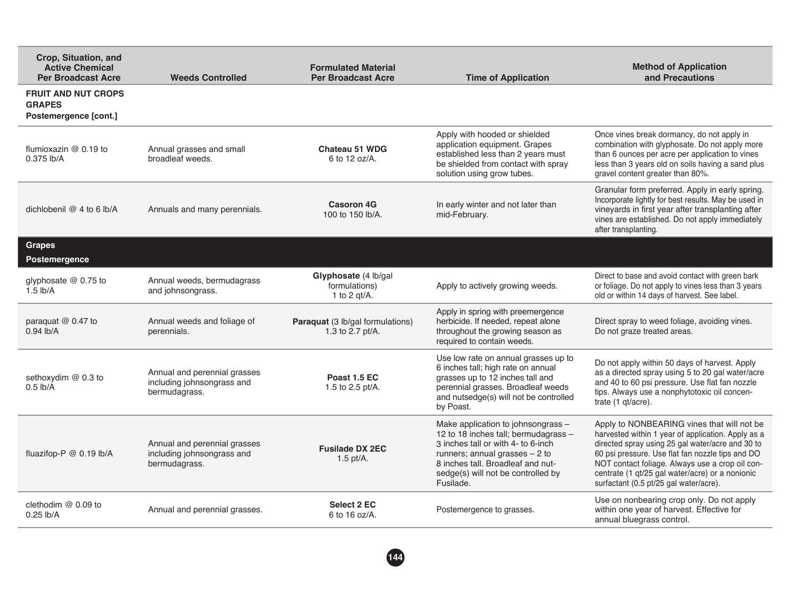| Crop, Situation, and<br><b>Active Chemical</b><br><b>Per Broadcast Acre</b> | <b>Weeds Controlled</b>                                                     | <b>Formulated Material</b><br><b>Per Broadcast Acre</b>  | <b>Time of Application</b>                                                                                                                                                                                                                  | <b>Method of Application</b><br>and Precautions                                                                                                                                                                                                                                                                                                          |
|-----------------------------------------------------------------------------|-----------------------------------------------------------------------------|----------------------------------------------------------|---------------------------------------------------------------------------------------------------------------------------------------------------------------------------------------------------------------------------------------------|----------------------------------------------------------------------------------------------------------------------------------------------------------------------------------------------------------------------------------------------------------------------------------------------------------------------------------------------------------|
| <b>FRUIT AND NUT CROPS</b><br><b>GRAPES</b><br>Postemergence [cont.]        |                                                                             |                                                          |                                                                                                                                                                                                                                             |                                                                                                                                                                                                                                                                                                                                                          |
| flumioxazin $@$ 0.19 to<br>$0.375$ lb/A                                     | Annual grasses and small<br>broadleaf weeds.                                | <b>Chateau 51 WDG</b><br>6 to 12 oz/A.                   | Apply with hooded or shielded<br>application equipment. Grapes<br>established less than 2 years must<br>be shielded from contact with spray<br>solution using grow tubes.                                                                   | Once vines break dormancy, do not apply in<br>combination with glyphosate. Do not apply more<br>than 6 ounces per acre per application to vines<br>less than 3 years old on soils having a sand plus<br>gravel content greater than 80%.                                                                                                                 |
| dichlobenil @ 4 to 6 lb/A                                                   | Annuals and many perennials.                                                | <b>Casoron 4G</b><br>100 to 150 lb/A.                    | In early winter and not later than<br>mid-February.                                                                                                                                                                                         | Granular form preferred. Apply in early spring.<br>Incorporate lightly for best results. May be used in<br>vineyards in first year after transplanting after<br>vines are established. Do not apply immediately<br>after transplanting.                                                                                                                  |
| <b>Grapes</b><br><b>Postemergence</b>                                       |                                                                             |                                                          |                                                                                                                                                                                                                                             |                                                                                                                                                                                                                                                                                                                                                          |
| glyphosate @ 0.75 to<br>$1.5$ lb/A                                          | Annual weeds, bermudagrass<br>and johnsongrass.                             | Glyphosate (4 lb/gal<br>formulations)<br>1 to 2 $qt/A$ . | Apply to actively growing weeds.                                                                                                                                                                                                            | Direct to base and avoid contact with green bark<br>or foliage. Do not apply to vines less than 3 years<br>old or within 14 days of harvest. See label.                                                                                                                                                                                                  |
| paraquat @ 0.47 to<br>$0.94$ lb/A                                           | Annual weeds and foliage of<br>perennials.                                  | Paraquat (3 lb/gal formulations)<br>1.3 to 2.7 pt/A.     | Apply in spring with preemergence<br>herbicide. If needed, repeat alone<br>throughout the growing season as<br>required to contain weeds.                                                                                                   | Direct spray to weed foliage, avoiding vines.<br>Do not graze treated areas.                                                                                                                                                                                                                                                                             |
| sethoxydim @ 0.3 to<br>$0.5$ lb/A                                           | Annual and perennial grasses<br>including johnsongrass and<br>bermudagrass. | Poast 1.5 EC<br>1.5 to 2.5 pt/A.                         | Use low rate on annual grasses up to<br>6 inches tall; high rate on annual<br>grasses up to 12 inches tall and<br>perennial grasses. Broadleaf weeds<br>and nutsedge(s) will not be controlled<br>by Poast.                                 | Do not apply within 50 days of harvest. Apply<br>as a directed spray using 5 to 20 gal water/acre<br>and 40 to 60 psi pressure. Use flat fan nozzle<br>tips. Always use a nonphytotoxic oil concen-<br>trate (1 gt/acre).                                                                                                                                |
| fluazifop-P @ 0.19 lb/A                                                     | Annual and perennial grasses<br>including johnsongrass and<br>bermudagrass. | <b>Fusilade DX 2EC</b><br>$1.5$ pt/A.                    | Make application to johnsongrass -<br>12 to 18 inches tall; bermudagrass -<br>3 inches tall or with 4- to 6-inch<br>runners; annual grasses $-2$ to<br>8 inches tall. Broadleaf and nut-<br>sedge(s) will not be controlled by<br>Fusilade. | Apply to NONBEARING vines that will not be<br>harvested within 1 year of application. Apply as a<br>directed spray using 25 gal water/acre and 30 to<br>60 psi pressure. Use flat fan nozzle tips and DO<br>NOT contact foliage. Always use a crop oil con-<br>centrate (1 qt/25 gal water/acre) or a nonionic<br>surfactant (0.5 pt/25 gal water/acre). |
| clethodim $@$ 0.09 to<br>$0.25$ lb/A                                        | Annual and perennial grasses.                                               | <b>Select 2 EC</b><br>6 to 16 oz/A.                      | Postemergence to grasses.                                                                                                                                                                                                                   | Use on nonbearing crop only. Do not apply<br>within one year of harvest. Effective for<br>annual bluegrass control.                                                                                                                                                                                                                                      |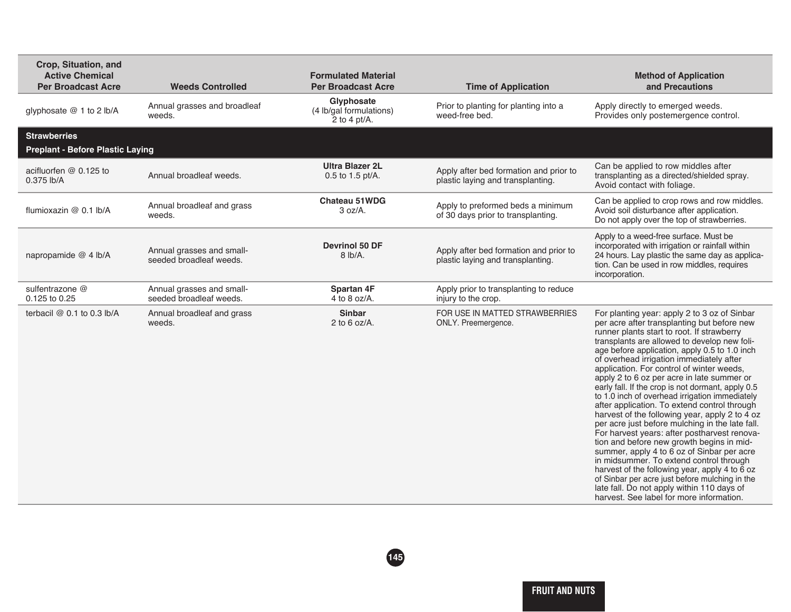| Crop, Situation, and<br><b>Active Chemical</b><br><b>Per Broadcast Acre</b> | <b>Weeds Controlled</b>                              | <b>Formulated Material</b><br><b>Per Broadcast Acre</b> | <b>Time of Application</b>                                                  | <b>Method of Application</b><br>and Precautions                                                                                                                                                                                                                                                                                                                                                                                                                                                                                                                                                                                                                                                                                                                                                                                                                                                                                                                                                                                           |
|-----------------------------------------------------------------------------|------------------------------------------------------|---------------------------------------------------------|-----------------------------------------------------------------------------|-------------------------------------------------------------------------------------------------------------------------------------------------------------------------------------------------------------------------------------------------------------------------------------------------------------------------------------------------------------------------------------------------------------------------------------------------------------------------------------------------------------------------------------------------------------------------------------------------------------------------------------------------------------------------------------------------------------------------------------------------------------------------------------------------------------------------------------------------------------------------------------------------------------------------------------------------------------------------------------------------------------------------------------------|
| glyphosate @ 1 to 2 lb/A                                                    | Annual grasses and broadleaf<br>weeds.               | Glyphosate<br>(4 lb/gal formulations)<br>2 to 4 pt/A.   | Prior to planting for planting into a<br>weed-free bed.                     | Apply directly to emerged weeds.<br>Provides only postemergence control.                                                                                                                                                                                                                                                                                                                                                                                                                                                                                                                                                                                                                                                                                                                                                                                                                                                                                                                                                                  |
| <b>Strawberries</b><br><b>Preplant - Before Plastic Laying</b>              |                                                      |                                                         |                                                                             |                                                                                                                                                                                                                                                                                                                                                                                                                                                                                                                                                                                                                                                                                                                                                                                                                                                                                                                                                                                                                                           |
| acifluorfen $@0.125$ to<br>$0.375$ lb/A                                     | Annual broadleaf weeds.                              | <b>Ultra Blazer 2L</b><br>0.5 to 1.5 pt/A.              | Apply after bed formation and prior to<br>plastic laying and transplanting. | Can be applied to row middles after<br>transplanting as a directed/shielded spray.<br>Avoid contact with foliage.                                                                                                                                                                                                                                                                                                                                                                                                                                                                                                                                                                                                                                                                                                                                                                                                                                                                                                                         |
| flumioxazin @ 0.1 lb/A                                                      | Annual broadleaf and grass<br>weeds.                 | <b>Chateau 51WDG</b><br>3 oz/A.                         | Apply to preformed beds a minimum<br>of 30 days prior to transplanting.     | Can be applied to crop rows and row middles.<br>Avoid soil disturbance after application.<br>Do not apply over the top of strawberries.                                                                                                                                                                                                                                                                                                                                                                                                                                                                                                                                                                                                                                                                                                                                                                                                                                                                                                   |
| napropamide @ 4 lb/A                                                        | Annual grasses and small-<br>seeded broadleaf weeds. | <b>Devrinol 50 DF</b><br>$8$ lb/A.                      | Apply after bed formation and prior to<br>plastic laying and transplanting. | Apply to a weed-free surface. Must be<br>incorporated with irrigation or rainfall within<br>24 hours. Lay plastic the same day as applica-<br>tion. Can be used in row middles, requires<br>incorporation.                                                                                                                                                                                                                                                                                                                                                                                                                                                                                                                                                                                                                                                                                                                                                                                                                                |
| sulfentrazone @<br>0.125 to 0.25                                            | Annual grasses and small-<br>seeded broadleaf weeds. | <b>Spartan 4F</b><br>4 to 8 oz/ $A$ .                   | Apply prior to transplanting to reduce<br>injury to the crop.               |                                                                                                                                                                                                                                                                                                                                                                                                                                                                                                                                                                                                                                                                                                                                                                                                                                                                                                                                                                                                                                           |
| terbacil $@$ 0.1 to 0.3 lb/A                                                | Annual broadleaf and grass<br>weeds.                 | <b>Sinbar</b><br>2 to 6 oz/ $A$ .                       | FOR USE IN MATTED STRAWBERRIES<br>ONLY. Preemergence.                       | For planting year: apply 2 to 3 oz of Sinbar<br>per acre after transplanting but before new<br>runner plants start to root. If strawberry<br>transplants are allowed to develop new foli-<br>age before application, apply 0.5 to 1.0 inch<br>of overhead irrigation immediately after<br>application. For control of winter weeds,<br>apply 2 to 6 oz per acre in late summer or<br>early fall. If the crop is not dormant, apply 0.5<br>to 1.0 inch of overhead irrigation immediately<br>after application. To extend control through<br>harvest of the following year, apply 2 to 4 oz<br>per acre just before mulching in the late fall.<br>For harvest years: after postharvest renova-<br>tion and before new growth begins in mid-<br>summer, apply 4 to 6 oz of Sinbar per acre<br>in midsummer. To extend control through<br>harvest of the following year, apply 4 to $\bar{6}$ oz<br>of Sinbar per acre just before mulching in the<br>late fall. Do not apply within 110 days of<br>harvest. See label for more information. |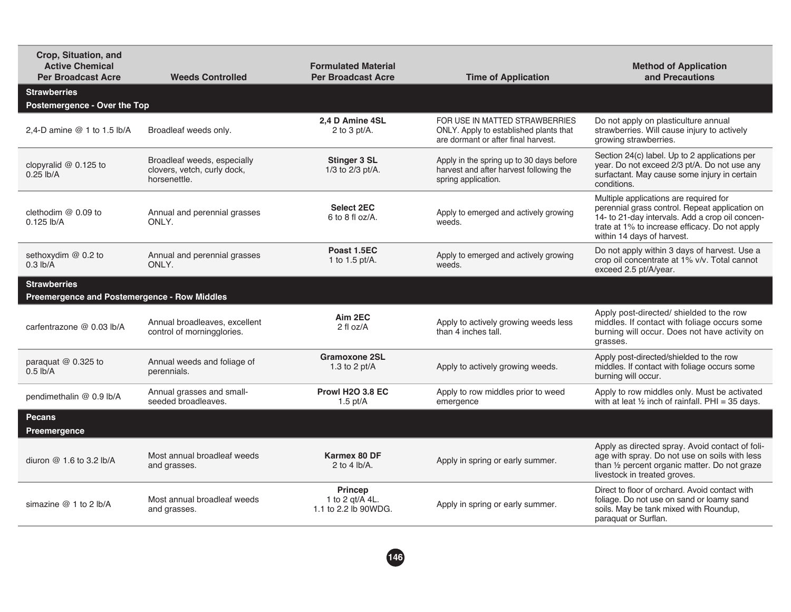| <b>Weeds Controlled</b>                                                    | <b>Formulated Material</b><br><b>Per Broadcast Acre</b>                      | <b>Time of Application</b>                                                                                      | <b>Method of Application</b><br>and Precautions                                                                                                                                                                             |
|----------------------------------------------------------------------------|------------------------------------------------------------------------------|-----------------------------------------------------------------------------------------------------------------|-----------------------------------------------------------------------------------------------------------------------------------------------------------------------------------------------------------------------------|
|                                                                            |                                                                              |                                                                                                                 |                                                                                                                                                                                                                             |
| Broadleaf weeds only.                                                      | 2.4 D Amine 4SL<br>2 to 3 $pt/A$ .                                           | FOR USE IN MATTED STRAWBERRIES<br>ONLY. Apply to established plants that<br>are dormant or after final harvest. | Do not apply on plasticulture annual<br>strawberries. Will cause injury to actively<br>growing strawberries.                                                                                                                |
| Broadleaf weeds, especially<br>clovers, vetch, curly dock,<br>horsenettle. | <b>Stinger 3 SL</b><br>1/3 to 2/3 pt/A.                                      | Apply in the spring up to 30 days before<br>harvest and after harvest following the<br>spring application.      | Section 24(c) label. Up to 2 applications per<br>year. Do not exceed 2/3 pt/A. Do not use any<br>surfactant. May cause some injury in certain<br>conditions.                                                                |
| Annual and perennial grasses<br>ONLY.                                      | <b>Select 2EC</b><br>6 to 8 fl $oz/A$ .                                      | Apply to emerged and actively growing<br>weeds.                                                                 | Multiple applications are required for<br>perennial grass control. Repeat application on<br>14- to 21-day intervals. Add a crop oil concen-<br>trate at 1% to increase efficacy. Do not apply<br>within 14 days of harvest. |
| Annual and perennial grasses<br>ONLY.                                      | Poast 1.5EC<br>1 to 1.5 pt/A.                                                | Apply to emerged and actively growing<br>weeds.                                                                 | Do not apply within 3 days of harvest. Use a<br>crop oil concentrate at 1% v/v. Total cannot<br>exceed 2.5 pt/A/year.                                                                                                       |
|                                                                            |                                                                              |                                                                                                                 |                                                                                                                                                                                                                             |
| Annual broadleaves, excellent<br>control of morningglories.                | Aim 2EC<br>$2$ fl oz/A                                                       | Apply to actively growing weeds less<br>than 4 inches tall.                                                     | Apply post-directed/ shielded to the row<br>middles. If contact with foliage occurs some<br>burning will occur. Does not have activity on<br>grasses.                                                                       |
| Annual weeds and foliage of<br>perennials.                                 | <b>Gramoxone 2SL</b><br>1.3 to 2 $pt/A$                                      | Apply to actively growing weeds.                                                                                | Apply post-directed/shielded to the row<br>middles. If contact with foliage occurs some<br>burning will occur.                                                                                                              |
| Annual grasses and small-<br>seeded broadleaves.                           | <b>Prowl H2O 3.8 EC</b><br>$1.5$ pt/A                                        | Apply to row middles prior to weed<br>emergence                                                                 | Apply to row middles only. Must be activated<br>with at leat $\frac{1}{2}$ inch of rainfall. PHI = 35 days.                                                                                                                 |
|                                                                            |                                                                              |                                                                                                                 |                                                                                                                                                                                                                             |
| Most annual broadleaf weeds<br>and grasses.                                | Karmex 80 DF<br>2 to 4 $lb/A$ .                                              | Apply in spring or early summer.                                                                                | Apply as directed spray. Avoid contact of foli-<br>age with spray. Do not use on soils with less<br>than 1/2 percent organic matter. Do not graze<br>livestock in treated groves.                                           |
| Most annual broadleaf weeds<br>and grasses.                                | <b>Princep</b><br>1 to 2 gt/A 4L.<br>1.1 to 2.2 lb 90WDG.                    | Apply in spring or early summer.                                                                                | Direct to floor of orchard. Avoid contact with<br>foliage. Do not use on sand or loamy sand<br>soils. May be tank mixed with Roundup,<br>paraquat or Surflan.                                                               |
|                                                                            | Postemergence - Over the Top<br>Preemergence and Postemergence - Row Middles |                                                                                                                 |                                                                                                                                                                                                                             |